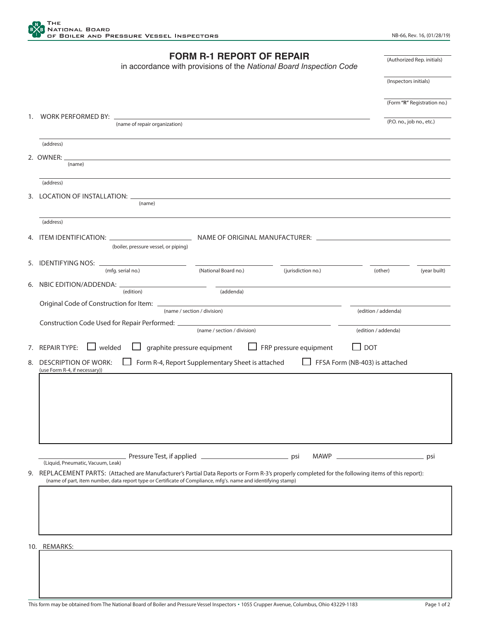

|    | <b>FORM R-1 REPORT OF REPAIR</b><br>in accordance with provisions of the National Board Inspection Code                                                                                                                                                                                              |                           | (Authorized Rep. initials)  |  |
|----|------------------------------------------------------------------------------------------------------------------------------------------------------------------------------------------------------------------------------------------------------------------------------------------------------|---------------------------|-----------------------------|--|
|    |                                                                                                                                                                                                                                                                                                      | (Inspectors initials)     |                             |  |
|    |                                                                                                                                                                                                                                                                                                      |                           | (Form "R" Registration no.) |  |
|    | (name of repair organization)                                                                                                                                                                                                                                                                        | (P.O. no., job no., etc.) |                             |  |
|    | (address)                                                                                                                                                                                                                                                                                            |                           |                             |  |
|    | 2. OWNER: __<br>and the control of the control of the control of the control of the control of the control of the control of the<br>(name)                                                                                                                                                           |                           |                             |  |
|    | (address)                                                                                                                                                                                                                                                                                            |                           |                             |  |
|    | 3. LOCATION OF INSTALLATION: $\_$<br>(name)                                                                                                                                                                                                                                                          |                           |                             |  |
|    | (address)                                                                                                                                                                                                                                                                                            |                           |                             |  |
|    | (boiler, pressure vessel, or piping)                                                                                                                                                                                                                                                                 |                           |                             |  |
| 5. | IDENTIFYING NOS: _____________<br>(National Board no.)<br>(mfg. serial no.)<br>(jurisdiction no.)                                                                                                                                                                                                    | (other)                   | (year built)                |  |
|    | (edition)<br>(addenda)                                                                                                                                                                                                                                                                               |                           |                             |  |
|    |                                                                                                                                                                                                                                                                                                      |                           |                             |  |
|    | (name / section / division)<br>Construction Code Used for Repair Performed: ___________________________________                                                                                                                                                                                      | (edition / addenda)       |                             |  |
|    | (name / section / division)<br>(edition / addenda)                                                                                                                                                                                                                                                   |                           |                             |  |
|    | graphite pressure equipment<br>$\Box$ FRP pressure equipment<br>7. REPAIR TYPE:<br>welded<br>$\mathsf{L}$<br>$\Box$ dot                                                                                                                                                                              |                           |                             |  |
| 8. | Form R-4, Report Supplementary Sheet is attached FFSA Form (NB-403) is attached<br><b>DESCRIPTION OF WORK:</b><br>(use Form R-4, if necessary))                                                                                                                                                      |                           |                             |  |
|    |                                                                                                                                                                                                                                                                                                      |                           |                             |  |
|    |                                                                                                                                                                                                                                                                                                      |                           |                             |  |
|    |                                                                                                                                                                                                                                                                                                      |                           |                             |  |
|    |                                                                                                                                                                                                                                                                                                      |                           |                             |  |
|    | <b>MAWP</b>                                                                                                                                                                                                                                                                                          |                           | psi                         |  |
| 9. | (Liquid, Pneumatic, Vacuum, Leak)<br>REPLACEMENT PARTS: (Attached are Manufacturer's Partial Data Reports or Form R-3's properly completed for the following items of this report):<br>(name of part, item number, data report type or Certificate of Compliance, mfq's. name and identifying stamp) |                           |                             |  |
|    |                                                                                                                                                                                                                                                                                                      |                           |                             |  |
|    |                                                                                                                                                                                                                                                                                                      |                           |                             |  |
|    |                                                                                                                                                                                                                                                                                                      |                           |                             |  |

10. REMARKS: